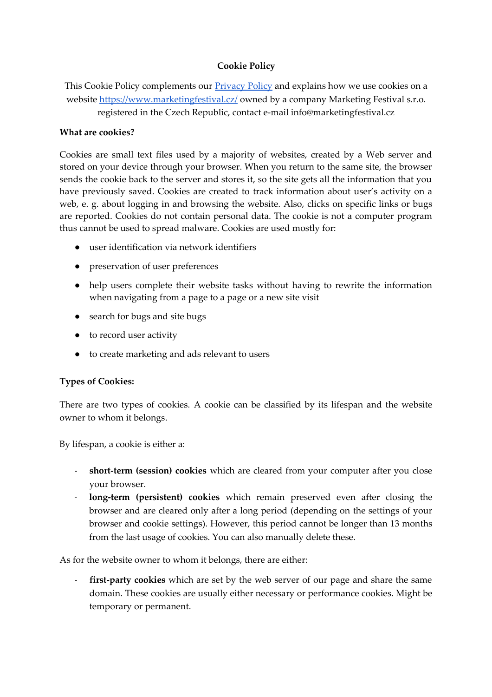## **Cookie Policy**

This Cookie Policy complements our **Privacy Policy** and explains how we use cookies on a website<https://www.marketingfestival.cz/>owned by a company Marketing Festival s.r.o. registered in the Czech Republic, contact e-mail info@marketingfestival.cz

#### **What are cookies?**

Cookies are small text files used by a majority of websites, created by a Web server and stored on your device through your browser. When you return to the same site, the browser sends the cookie back to the server and stores it, so the site gets all the information that you have previously saved. Cookies are created to track information about user's activity on a web, e. g. about logging in and browsing the website. Also, clicks on specific links or bugs are reported. Cookies do not contain personal data. The cookie is not a computer program thus cannot be used to spread malware. Cookies are used mostly for:

- user identification via network identifiers
- preservation of user preferences
- help users complete their website tasks without having to rewrite the information when navigating from a page to a page or a new site visit
- search for bugs and site bugs
- to record user activity
- to create marketing and ads relevant to users

#### **Types of Cookies:**

There are two types of cookies. A cookie can be classified by its lifespan and the website owner to whom it belongs.

By lifespan, a cookie is either a:

- **short-term (session) cookies** which are cleared from your computer after you close your browser.
- **long-term (persistent) cookies** which remain preserved even after closing the browser and are cleared only after a long period (depending on the settings of your browser and cookie settings). However, this period cannot be longer than 13 months from the last usage of cookies. You can also manually delete these.

As for the website owner to whom it belongs, there are either:

first-party cookies which are set by the web server of our page and share the same domain. These cookies are usually either necessary or performance cookies. Might be temporary or permanent.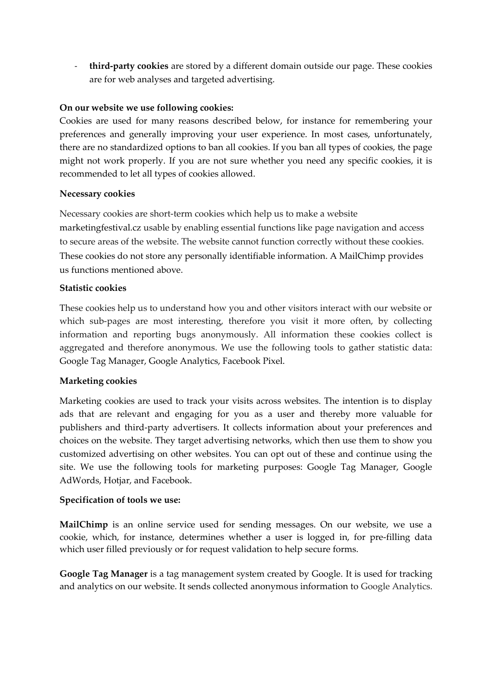- **third-party cookies** are stored by a different domain outside our page. These cookies are for web analyses and targeted advertising.

# **On our website we use following cookies:**

Cookies are used for many reasons described below, for instance for remembering your preferences and generally improving your user experience. In most cases, unfortunately, there are no standardized options to ban all cookies. If you ban all types of cookies, the page might not work properly. If you are not sure whether you need any specific cookies, it is recommended to let all types of cookies allowed.

## **Necessary cookies**

Necessary cookies are short-term cookies which help us to make a website marketingfestival.cz usable by enabling essential functions like page navigation and access to secure areas of the website. The website cannot function correctly without these cookies. These cookies do not store any personally identifiable information. A MailChimp provides us functions mentioned above.

# **Statistic cookies**

These cookies help us to understand how you and other visitors interact with our website or which sub-pages are most interesting, therefore you visit it more often, by collecting information and reporting bugs anonymously. All information these cookies collect is aggregated and therefore anonymous. We use the following tools to gather statistic data: Google Tag Manager, Google Analytics, Facebook Pixel.

# **Marketing cookies**

Marketing cookies are used to track your visits across websites. The intention is to display ads that are relevant and engaging for you as a user and thereby more valuable for publishers and third-party advertisers. It collects information about your preferences and choices on the website. They target advertising networks, which then use them to show you customized advertising on other websites. You can opt out of these and continue using the site. We use the following tools for marketing purposes: Google Tag Manager, Google AdWords, Hotjar, and Facebook.

# **Specification of tools we use:**

**MailChimp** is an online service used for sending messages. On our website, we use a cookie, which, for instance, determines whether a user is logged in, for pre-filling data which user filled previously or for request validation to help secure forms.

**Google Tag Manager** is a tag management system created by Google. It is used for tracking and analytics on our website. It sends collected anonymous information to Google Analytics.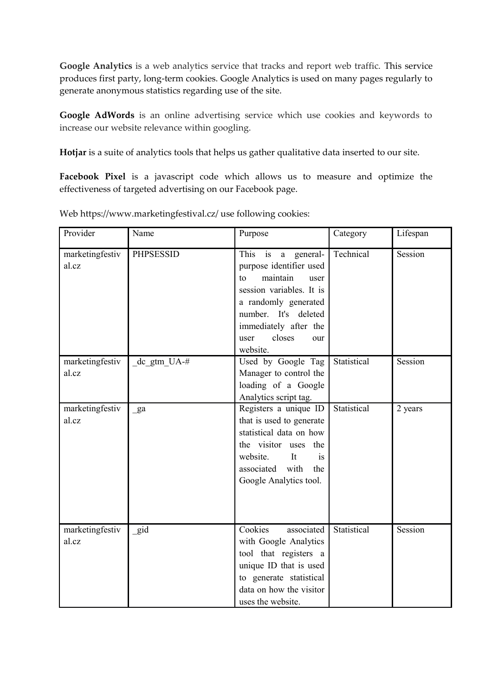**Google Analytics** is a web analytics service that tracks and report web traffic. This service produces first party, long-term cookies. Google Analytics is used on many pages regularly to generate anonymous statistics regarding use of the site.

**Google AdWords** is an online advertising service which use cookies and keywords to increase our website relevance within googling.

**Hotjar** is a suite of analytics tools that helps us gather qualitative data inserted to our site.

**Facebook Pixel** is a javascript code which allows us to measure and optimize the effectiveness of targeted advertising on our Facebook page.

| Provider                 | Name             | Purpose                                                                                                                                                                                                                 | Category    | Lifespan |
|--------------------------|------------------|-------------------------------------------------------------------------------------------------------------------------------------------------------------------------------------------------------------------------|-------------|----------|
| marketingfestiv<br>al.cz | <b>PHPSESSID</b> | This<br>a general-<br>is<br>purpose identifier used<br>maintain<br>to<br>user<br>session variables. It is<br>a randomly generated<br>number. It's deleted<br>immediately after the<br>closes<br>user<br>our<br>website. | Technical   | Session  |
| marketingfestiv<br>al.cz | dc gtm UA-#      | Used by Google Tag<br>Manager to control the<br>loading of a Google<br>Analytics script tag.                                                                                                                            | Statistical | Session  |
| marketingfestiv<br>al.cz | ga               | Registers a unique ID<br>that is used to generate<br>statistical data on how<br>the visitor uses the<br>website.<br>It<br>is<br>associated with<br>the<br>Google Analytics tool.                                        | Statistical | 2 years  |
| marketingfestiv<br>al.cz | gid              | Cookies<br>associated<br>with Google Analytics<br>tool that registers a<br>unique ID that is used<br>to generate statistical<br>data on how the visitor<br>uses the website.                                            | Statistical | Session  |

Web https://www.marketingfestival.cz/ use following cookies: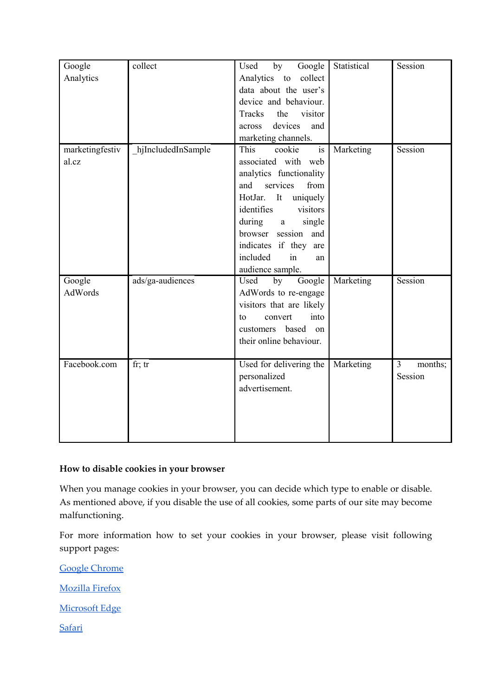| Google<br>Analytics      | collect            | by<br>Google<br>Used<br>Analytics<br>collect<br>to<br>data about the user's<br>device and behaviour.<br>Tracks<br>the<br>visitor<br>devices<br>and<br>across<br>marketing channels.                                                                                                                          | Statistical | Session                              |
|--------------------------|--------------------|--------------------------------------------------------------------------------------------------------------------------------------------------------------------------------------------------------------------------------------------------------------------------------------------------------------|-------------|--------------------------------------|
| marketingfestiv<br>al.cz | hjIncludedInSample | $\overline{\text{is}}$<br>cookie<br>This<br>associated with web<br>analytics functionality<br>services<br>from<br>and<br>uniquely<br>HotJar.<br>It<br>identifies<br>visitors<br>during<br>single<br>$\mathbf{a}$<br>browser session and<br>indicates if they are<br>included<br>in<br>an<br>audience sample. | Marketing   | Session                              |
| Google<br>AdWords        | ads/ga-audiences   | Google<br>Used<br>by<br>AdWords to re-engage<br>visitors that are likely<br>into<br>convert<br>to<br>customers based<br>on<br>their online behaviour.                                                                                                                                                        | Marketing   | Session                              |
| Facebook.com             | fr; $tr$           | Used for delivering the<br>personalized<br>advertisement.                                                                                                                                                                                                                                                    | Marketing   | $\overline{3}$<br>months;<br>Session |

## **How to disable cookies in your browser**

When you manage cookies in your browser, you can decide which type to enable or disable. As mentioned above, if you disable the use of all cookies, some parts of our site may become malfunctioning.

For more information how to set your cookies in your browser, please visit following support pages:

[Google Chrome](https://support.google.com/chrome/answer/95647?hl=en)

[Mozilla Firefox](https://support.mozilla.org/en-US/kb/enable-and-disable-cookies-website-preferences)

[Microsoft Edge](https://privacy.microsoft.com/en-us/windows-10-microsoft-edge-and-privacy)

**[Safari](https://support.apple.com/kb/PH21411?locale=en_US&viewlocale=en_US)**